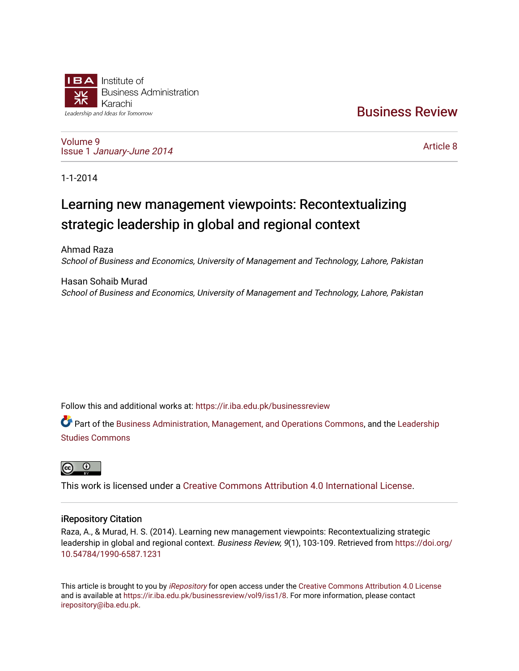# **IBA** Institute of **Business Administration** Karachi Leadership and Ideas for Tomorrow

[Business Review](https://ir.iba.edu.pk/businessreview) 

[Volume 9](https://ir.iba.edu.pk/businessreview/vol9) Issue 1 [January-June 2014](https://ir.iba.edu.pk/businessreview/vol9/iss1) 

[Article 8](https://ir.iba.edu.pk/businessreview/vol9/iss1/8) 

1-1-2014

# Learning new management viewpoints: Recontextualizing strategic leadership in global and regional context

Ahmad Raza School of Business and Economics, University of Management and Technology, Lahore, Pakistan

Hasan Sohaib Murad School of Business and Economics, University of Management and Technology, Lahore, Pakistan

Follow this and additional works at: [https://ir.iba.edu.pk/businessreview](https://ir.iba.edu.pk/businessreview?utm_source=ir.iba.edu.pk%2Fbusinessreview%2Fvol9%2Fiss1%2F8&utm_medium=PDF&utm_campaign=PDFCoverPages) 

Part of the [Business Administration, Management, and Operations Commons](http://network.bepress.com/hgg/discipline/623?utm_source=ir.iba.edu.pk%2Fbusinessreview%2Fvol9%2Fiss1%2F8&utm_medium=PDF&utm_campaign=PDFCoverPages), and the Leadership [Studies Commons](http://network.bepress.com/hgg/discipline/1250?utm_source=ir.iba.edu.pk%2Fbusinessreview%2Fvol9%2Fiss1%2F8&utm_medium=PDF&utm_campaign=PDFCoverPages) 



This work is licensed under a [Creative Commons Attribution 4.0 International License](https://creativecommons.org/licenses/by/4.0/).

# iRepository Citation

Raza, A., & Murad, H. S. (2014). Learning new management viewpoints: Recontextualizing strategic leadership in global and regional context. Business Review, 9(1), 103-109. Retrieved from [https://doi.org/](https://doi.org/10.54784/1990-6587.1231) [10.54784/1990-6587.1231](https://doi.org/10.54784/1990-6587.1231) 

This article is brought to you by *[iRepository](https://ir.iba.edu.pk/)* for open access under the Creative Commons Attribution 4.0 License and is available at [https://ir.iba.edu.pk/businessreview/vol9/iss1/8.](https://ir.iba.edu.pk/businessreview/vol9/iss1/8) For more information, please contact [irepository@iba.edu.pk.](mailto:irepository@iba.edu.pk)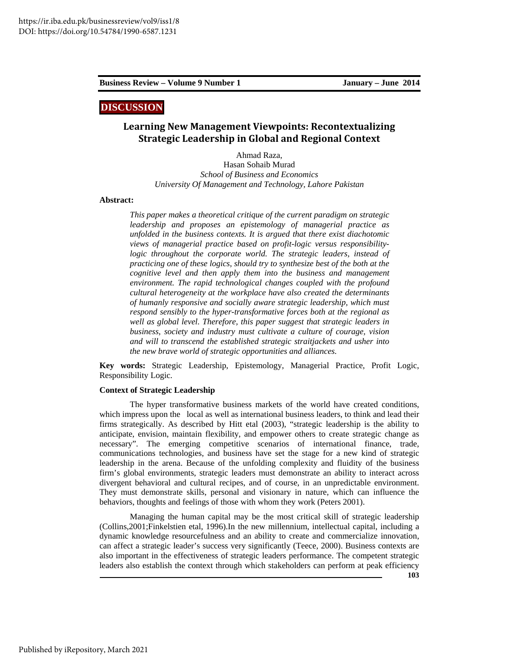## **DISCUSSION**

# **Learning New Management Viewpoints: Recontextualizing Strategic Leadership in Global and Regional Context**

Ahmad Raza, Hasan Sohaib Murad *School of Business and Economics University Of Management and Technology, Lahore Pakistan* 

### **Abstract:**

*This paper makes a theoretical critique of the current paradigm on strategic leadership and proposes an epistemology of managerial practice as unfolded in the business contexts. It is argued that there exist diachotomic views of managerial practice based on profit-logic versus responsibility*logic throughout the corporate world. The strategic leaders, instead of *practicing one of these logics, should try to synthesize best of the both at the cognitive level and then apply them into the business and management environment. The rapid technological changes coupled with the profound cultural heterogeneity at the workplace have also created the determinants of humanly responsive and socially aware strategic leadership, which must respond sensibly to the hyper-transformative forces both at the regional as well as global level. Therefore, this paper suggest that strategic leaders in business, society and industry must cultivate a culture of courage, vision and will to transcend the established strategic straitjackets and usher into the new brave world of strategic opportunities and alliances.* 

**Key words:** Strategic Leadership, Epistemology, Managerial Practice, Profit Logic, Responsibility Logic.

#### **Context of Strategic Leadership**

The hyper transformative business markets of the world have created conditions, which impress upon the local as well as international business leaders, to think and lead their firms strategically. As described by Hitt etal (2003), "strategic leadership is the ability to anticipate, envision, maintain flexibility, and empower others to create strategic change as necessary". The emerging competitive scenarios of international finance, trade, communications technologies, and business have set the stage for a new kind of strategic leadership in the arena. Because of the unfolding complexity and fluidity of the business firm's global environments, strategic leaders must demonstrate an ability to interact across divergent behavioral and cultural recipes, and of course, in an unpredictable environment. They must demonstrate skills, personal and visionary in nature, which can influence the behaviors, thoughts and feelings of those with whom they work (Peters 2001).

Managing the human capital may be the most critical skill of strategic leadership (Collins,2001;Finkelstien etal, 1996).In the new millennium, intellectual capital, including a dynamic knowledge resourcefulness and an ability to create and commercialize innovation, can affect a strategic leader's success very significantly (Teece, 2000). Business contexts are also important in the effectiveness of strategic leaders performance. The competent strategic leaders also establish the context through which stakeholders can perform at peak efficiency

**103**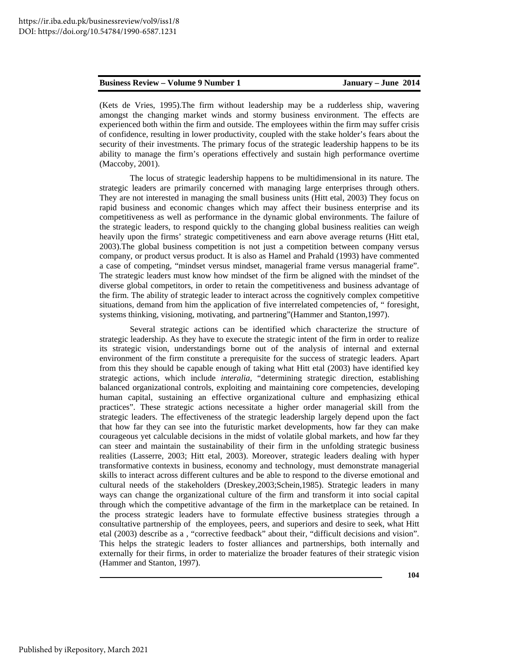(Kets de Vries, 1995).The firm without leadership may be a rudderless ship, wavering amongst the changing market winds and stormy business environment. The effects are experienced both within the firm and outside. The employees within the firm may suffer crisis of confidence, resulting in lower productivity, coupled with the stake holder's fears about the security of their investments. The primary focus of the strategic leadership happens to be its ability to manage the firm's operations effectively and sustain high performance overtime (Maccoby, 2001).

The locus of strategic leadership happens to be multidimensional in its nature. The strategic leaders are primarily concerned with managing large enterprises through others. They are not interested in managing the small business units (Hitt etal, 2003) They focus on rapid business and economic changes which may affect their business enterprise and its competitiveness as well as performance in the dynamic global environments. The failure of the strategic leaders, to respond quickly to the changing global business realities can weigh heavily upon the firms' strategic competitiveness and earn above average returns (Hitt etal, 2003).The global business competition is not just a competition between company versus company, or product versus product. It is also as Hamel and Prahald (1993) have commented a case of competing, "mindset versus mindset, managerial frame versus managerial frame". The strategic leaders must know how mindset of the firm be aligned with the mindset of the diverse global competitors, in order to retain the competitiveness and business advantage of the firm. The ability of strategic leader to interact across the cognitively complex competitive situations, demand from him the application of five interrelated competencies of, " foresight, systems thinking, visioning, motivating, and partnering"(Hammer and Stanton,1997).

Several strategic actions can be identified which characterize the structure of strategic leadership. As they have to execute the strategic intent of the firm in order to realize its strategic vision, understandings borne out of the analysis of internal and external environment of the firm constitute a prerequisite for the success of strategic leaders. Apart from this they should be capable enough of taking what Hitt etal (2003) have identified key strategic actions, which include *interalia,* "determining strategic direction, establishing balanced organizational controls, exploiting and maintaining core competencies, developing human capital, sustaining an effective organizational culture and emphasizing ethical practices". These strategic actions necessitate a higher order managerial skill from the strategic leaders. The effectiveness of the strategic leadership largely depend upon the fact that how far they can see into the futuristic market developments, how far they can make courageous yet calculable decisions in the midst of volatile global markets, and how far they can steer and maintain the sustainability of their firm in the unfolding strategic business realities (Lasserre, 2003; Hitt etal, 2003). Moreover, strategic leaders dealing with hyper transformative contexts in business, economy and technology, must demonstrate managerial skills to interact across different cultures and be able to respond to the diverse emotional and cultural needs of the stakeholders (Dreskey,2003;Schein,1985). Strategic leaders in many ways can change the organizational culture of the firm and transform it into social capital through which the competitive advantage of the firm in the marketplace can be retained. In the process strategic leaders have to formulate effective business strategies through a consultative partnership of the employees, peers, and superiors and desire to seek, what Hitt etal (2003) describe as a , "corrective feedback" about their, "difficult decisions and vision". This helps the strategic leaders to foster alliances and partnerships, both internally and externally for their firms, in order to materialize the broader features of their strategic vision (Hammer and Stanton, 1997).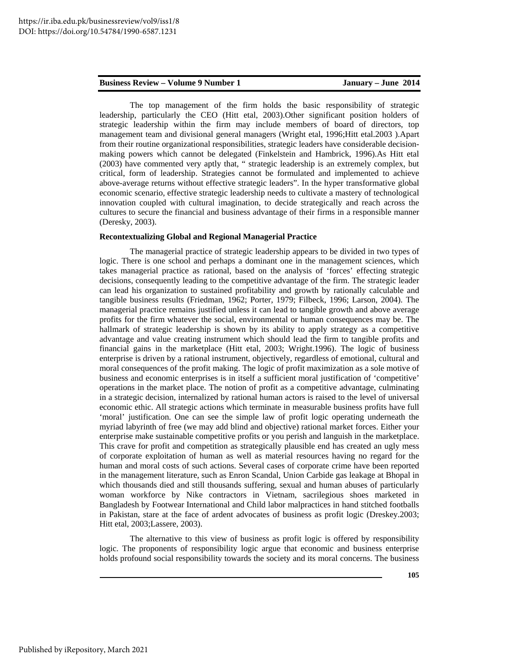The top management of the firm holds the basic responsibility of strategic leadership, particularly the CEO (Hitt etal, 2003).Other significant position holders of strategic leadership within the firm may include members of board of directors, top management team and divisional general managers (Wright etal, 1996;Hitt etal.2003 ).Apart from their routine organizational responsibilities, strategic leaders have considerable decisionmaking powers which cannot be delegated (Finkelstein and Hambrick, 1996).As Hitt etal (2003) have commented very aptly that, " strategic leadership is an extremely complex, but critical, form of leadership. Strategies cannot be formulated and implemented to achieve above-average returns without effective strategic leaders". In the hyper transformative global economic scenario, effective strategic leadership needs to cultivate a mastery of technological innovation coupled with cultural imagination, to decide strategically and reach across the cultures to secure the financial and business advantage of their firms in a responsible manner (Deresky, 2003).

#### **Recontextualizing Global and Regional Managerial Practice**

The managerial practice of strategic leadership appears to be divided in two types of logic. There is one school and perhaps a dominant one in the management sciences, which takes managerial practice as rational, based on the analysis of 'forces' effecting strategic decisions, consequently leading to the competitive advantage of the firm. The strategic leader can lead his organization to sustained profitability and growth by rationally calculable and tangible business results (Friedman, 1962; Porter, 1979; Filbeck, 1996; Larson, 2004). The managerial practice remains justified unless it can lead to tangible growth and above average profits for the firm whatever the social, environmental or human consequences may be. The hallmark of strategic leadership is shown by its ability to apply strategy as a competitive advantage and value creating instrument which should lead the firm to tangible profits and financial gains in the marketplace (Hitt etal, 2003; Wright.1996). The logic of business enterprise is driven by a rational instrument, objectively, regardless of emotional, cultural and moral consequences of the profit making. The logic of profit maximization as a sole motive of business and economic enterprises is in itself a sufficient moral justification of 'competitive' operations in the market place. The notion of profit as a competitive advantage, culminating in a strategic decision, internalized by rational human actors is raised to the level of universal economic ethic. All strategic actions which terminate in measurable business profits have full 'moral' justification. One can see the simple law of profit logic operating underneath the myriad labyrinth of free (we may add blind and objective) rational market forces. Either your enterprise make sustainable competitive profits or you perish and languish in the marketplace. This crave for profit and competition as strategically plausible end has created an ugly mess of corporate exploitation of human as well as material resources having no regard for the human and moral costs of such actions. Several cases of corporate crime have been reported in the management literature, such as Enron Scandal, Union Carbide gas leakage at Bhopal in which thousands died and still thousands suffering, sexual and human abuses of particularly woman workforce by Nike contractors in Vietnam, sacrilegious shoes marketed in Bangladesh by Footwear International and Child labor malpractices in hand stitched footballs in Pakistan, stare at the face of ardent advocates of business as profit logic (Dreskey.2003; Hitt etal, 2003;Lassere, 2003).

The alternative to this view of business as profit logic is offered by responsibility logic. The proponents of responsibility logic argue that economic and business enterprise holds profound social responsibility towards the society and its moral concerns. The business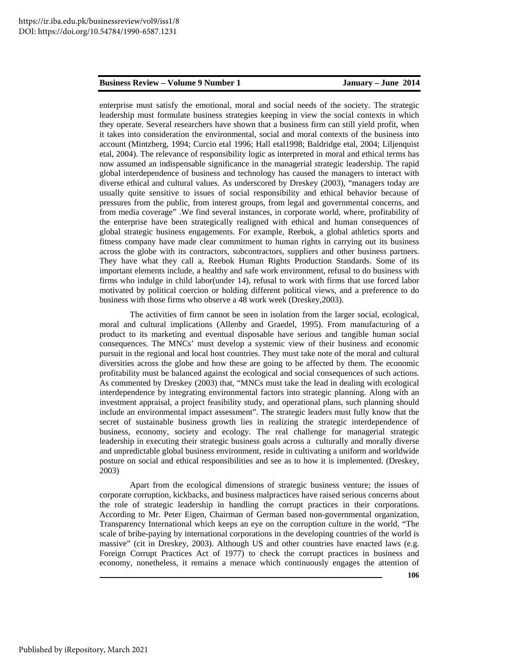enterprise must satisfy the emotional, moral and social needs of the society. The strategic leadership must formulate business strategies keeping in view the social contexts in which they operate. Several researchers have shown that a business firm can still yield profit, when it takes into consideration the environmental, social and moral contexts of the business into account (Mintzberg, 1994; Curcio etal 1996; Hall etal1998; Baldridge etal, 2004; Liljenquist etal, 2004). The relevance of responsibility logic as interpreted in moral and ethical terms has now assumed an indispensable significance in the managerial strategic leadership. The rapid global interdependence of business and technology has caused the managers to interact with diverse ethical and cultural values. As underscored by Dreskey (2003), "managers today are usually quite sensitive to issues of social responsibility and ethical behavior because of pressures from the public, from interest groups, from legal and governmental concerns, and from media coverage" .We find several instances, in corporate world, where, profitability of the enterprise have been strategically realigned with ethical and human consequences of global strategic business engagements. For example, Reebok, a global athletics sports and fitness company have made clear commitment to human rights in carrying out its business across the globe with its contractors, subcontractors, suppliers and other business partners. They have what they call a, Reebok Human Rights Production Standards. Some of its important elements include, a healthy and safe work environment, refusal to do business with firms who indulge in child labor(under 14), refusal to work with firms that use forced labor motivated by political coercion or holding different political views, and a preference to do business with those firms who observe a 48 work week (Dreskey,2003).

The activities of firm cannot be seen in isolation from the larger social, ecological, moral and cultural implications (Allenby and Graedel, 1995). From manufacturing of a product to its marketing and eventual disposable have serious and tangible human social consequences. The MNCs' must develop a systemic view of their business and economic pursuit in the regional and local host countries. They must take note of the moral and cultural diversities across the globe and how these are going to be affected by them. The economic profitability must be balanced against the ecological and social consequences of such actions. As commented by Dreskey (2003) that, "MNCs must take the lead in dealing with ecological interdependence by integrating environmental factors into strategic planning. Along with an investment appraisal, a project feasibility study, and operational plans, such planning should include an environmental impact assessment". The strategic leaders must fully know that the secret of sustainable business growth lies in realizing the strategic interdependence of business, economy, society and ecology. The real challenge for managerial strategic leadership in executing their strategic business goals across a culturally and morally diverse and unpredictable global business environment, reside in cultivating a uniform and worldwide posture on social and ethical responsibilities and see as to how it is implemented. (Dreskey, 2003)

Apart from the ecological dimensions of strategic business venture; the issues of corporate corruption, kickbacks, and business malpractices have raised serious concerns about the role of strategic leadership in handling the corrupt practices in their corporations. According to Mr. Peter Eigen, Chairman of German based non-governmental organization, Transparency International which keeps an eye on the corruption culture in the world, "The scale of bribe-paying by international corporations in the developing countries of the world is massive" (cit in Dreskey, 2003). Although US and other countries have enacted laws (e.g. Foreign Corrupt Practices Act of 1977) to check the corrupt practices in business and economy, nonetheless, it remains a menace which continuously engages the attention of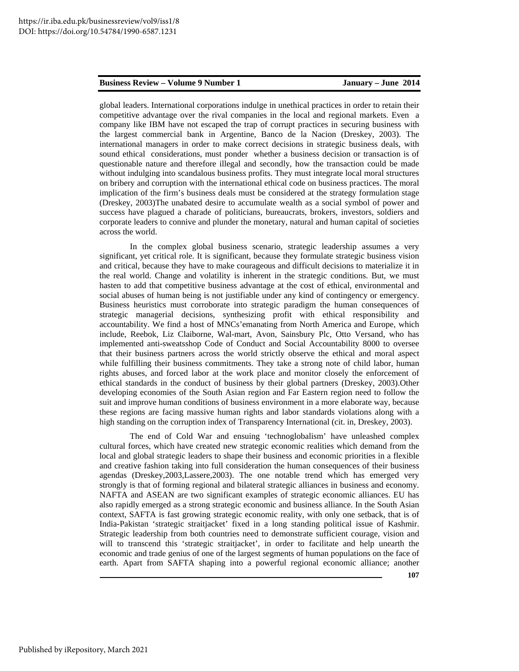global leaders. International corporations indulge in unethical practices in order to retain their competitive advantage over the rival companies in the local and regional markets. Even a company like IBM have not escaped the trap of corrupt practices in securing business with the largest commercial bank in Argentine, Banco de la Nacion (Dreskey, 2003). The international managers in order to make correct decisions in strategic business deals, with sound ethical considerations, must ponder whether a business decision or transaction is of questionable nature and therefore illegal and secondly, how the transaction could be made without indulging into scandalous business profits. They must integrate local moral structures on bribery and corruption with the international ethical code on business practices. The moral implication of the firm's business deals must be considered at the strategy formulation stage (Dreskey, 2003)The unabated desire to accumulate wealth as a social symbol of power and success have plagued a charade of politicians, bureaucrats, brokers, investors, soldiers and corporate leaders to connive and plunder the monetary, natural and human capital of societies across the world.

In the complex global business scenario, strategic leadership assumes a very significant, yet critical role. It is significant, because they formulate strategic business vision and critical, because they have to make courageous and difficult decisions to materialize it in the real world. Change and volatility is inherent in the strategic conditions. But, we must hasten to add that competitive business advantage at the cost of ethical, environmental and social abuses of human being is not justifiable under any kind of contingency or emergency. Business heuristics must corroborate into strategic paradigm the human consequences of strategic managerial decisions, synthesizing profit with ethical responsibility and accountability. We find a host of MNCs'emanating from North America and Europe, which include, Reebok, Liz Claiborne, Wal-mart, Avon, Sainsbury Plc, Otto Versand, who has implemented anti-sweatsshop Code of Conduct and Social Accountability 8000 to oversee that their business partners across the world strictly observe the ethical and moral aspect while fulfilling their business commitments. They take a strong note of child labor, human rights abuses, and forced labor at the work place and monitor closely the enforcement of ethical standards in the conduct of business by their global partners (Dreskey, 2003).Other developing economies of the South Asian region and Far Eastern region need to follow the suit and improve human conditions of business environment in a more elaborate way, because these regions are facing massive human rights and labor standards violations along with a high standing on the corruption index of Transparency International (cit. in, Dreskey, 2003).

The end of Cold War and ensuing 'technoglobalism' have unleashed complex cultural forces, which have created new strategic economic realities which demand from the local and global strategic leaders to shape their business and economic priorities in a flexible and creative fashion taking into full consideration the human consequences of their business agendas (Dreskey,2003,Lassere,2003). The one notable trend which has emerged very strongly is that of forming regional and bilateral strategic alliances in business and economy. NAFTA and ASEAN are two significant examples of strategic economic alliances. EU has also rapidly emerged as a strong strategic economic and business alliance. In the South Asian context, SAFTA is fast growing strategic economic reality, with only one setback, that is of India-Pakistan 'strategic straitjacket' fixed in a long standing political issue of Kashmir. Strategic leadership from both countries need to demonstrate sufficient courage, vision and will to transcend this 'strategic straitjacket', in order to facilitate and help unearth the economic and trade genius of one of the largest segments of human populations on the face of earth. Apart from SAFTA shaping into a powerful regional economic alliance; another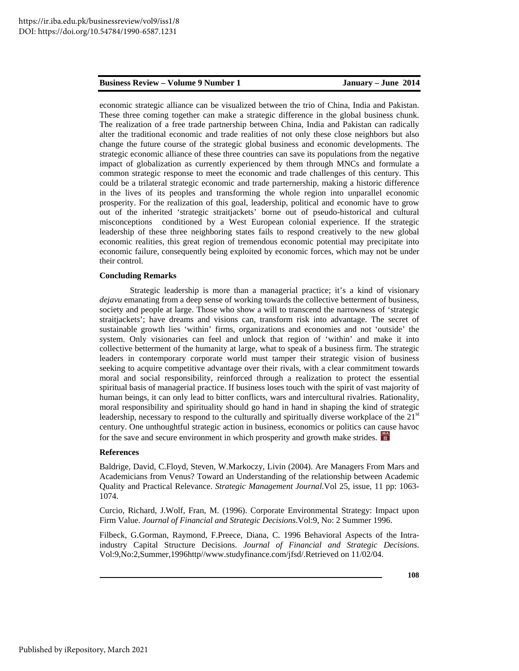economic strategic alliance can be visualized between the trio of China, India and Pakistan. These three coming together can make a strategic difference in the global business chunk. The realization of a free trade partnership between China, India and Pakistan can radically alter the traditional economic and trade realities of not only these close neighbors but also change the future course of the strategic global business and economic developments. The strategic economic alliance of these three countries can save its populations from the negative impact of globalization as currently experienced by them through MNCs and formulate a common strategic response to meet the economic and trade challenges of this century. This could be a trilateral strategic economic and trade parternership, making a historic difference in the lives of its peoples and transforming the whole region into unparallel economic prosperity. For the realization of this goal, leadership, political and economic have to grow out of the inherited 'strategic straitjackets' borne out of pseudo-historical and cultural misconceptions conditioned by a West European colonial experience. If the strategic leadership of these three neighboring states fails to respond creatively to the new global economic realities, this great region of tremendous economic potential may precipitate into economic failure, consequently being exploited by economic forces, which may not be under their control.

#### **Concluding Remarks**

Strategic leadership is more than a managerial practice; it's a kind of visionary *dejavu* emanating from a deep sense of working towards the collective betterment of business, society and people at large. Those who show a will to transcend the narrowness of 'strategic straitjackets'; have dreams and visions can, transform risk into advantage. The secret of sustainable growth lies 'within' firms, organizations and economies and not 'outside' the system. Only visionaries can feel and unlock that region of 'within' and make it into collective betterment of the humanity at large, what to speak of a business firm. The strategic leaders in contemporary corporate world must tamper their strategic vision of business seeking to acquire competitive advantage over their rivals, with a clear commitment towards moral and social responsibility, reinforced through a realization to protect the essential spiritual basis of managerial practice. If business loses touch with the spirit of vast majority of human beings, it can only lead to bitter conflicts, wars and intercultural rivalries. Rationality, moral responsibility and spirituality should go hand in hand in shaping the kind of strategic leadership, necessary to respond to the culturally and spiritually diverse workplace of the  $21<sup>st</sup>$ century. One unthoughtful strategic action in business, economics or politics can cause havoc for the save and secure environment in which prosperity and growth make strides.

#### **References**

Baldrige, David, C.Floyd, Steven, W.Markoczy, Livin (2004). Are Managers From Mars and Academicians from Venus? Toward an Understanding of the relationship between Academic Quality and Practical Relevance. *Strategic Management Journal*.Vol 25, issue, 11 pp: 1063- 1074.

Curcio, Richard, J.Wolf, Fran, M. (1996). Corporate Environmental Strategy: Impact upon Firm Value. *Journal of Financial and Strategic Decisions*.Vol:9, No: 2 Summer 1996.

Filbeck, G.Gorman, Raymond, F.Preece, Diana, C. 1996 Behavioral Aspects of the Intraindustry Capital Structure Decisions. *Journal of Financial and Strategic Decisions*. Vol:9,No:2,Summer,1996http//www.studyfinance.com/jfsd/.Retrieved on 11/02/04.